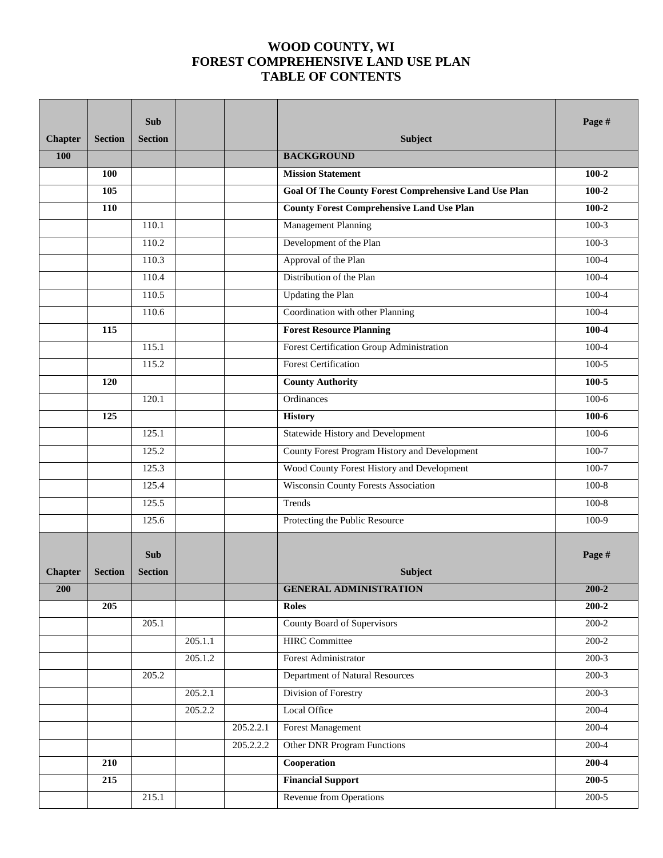## **WOOD COUNTY, WI FOREST COMPREHENSIVE LAND USE PLAN TABLE OF CONTENTS**

|                |                | <b>Sub</b>     |         |           |                                                              | Page #    |
|----------------|----------------|----------------|---------|-----------|--------------------------------------------------------------|-----------|
| <b>Chapter</b> | <b>Section</b> | <b>Section</b> |         |           | Subject                                                      |           |
| 100            |                |                |         |           | <b>BACKGROUND</b>                                            |           |
|                | 100            |                |         |           | <b>Mission Statement</b>                                     | $100 - 2$ |
|                | 105            |                |         |           | <b>Goal Of The County Forest Comprehensive Land Use Plan</b> | $100 - 2$ |
|                | 110            |                |         |           | <b>County Forest Comprehensive Land Use Plan</b>             | $100 - 2$ |
|                |                | 110.1          |         |           | <b>Management Planning</b>                                   | $100-3$   |
|                |                | 110.2          |         |           | Development of the Plan                                      | $100-3$   |
|                |                | 110.3          |         |           | Approval of the Plan                                         | $100 - 4$ |
|                |                | 110.4          |         |           | Distribution of the Plan                                     | 100-4     |
|                |                | 110.5          |         |           | Updating the Plan                                            | 100-4     |
|                |                | 110.6          |         |           | Coordination with other Planning                             | $100 - 4$ |
|                | 115            |                |         |           | <b>Forest Resource Planning</b>                              | 100-4     |
|                |                | 115.1          |         |           | Forest Certification Group Administration                    | 100-4     |
|                |                | 115.2          |         |           | <b>Forest Certification</b>                                  | $100-5$   |
|                | 120            |                |         |           | <b>County Authority</b>                                      | $100 - 5$ |
|                |                | 120.1          |         |           | Ordinances                                                   | $100-6$   |
|                | 125            |                |         |           | <b>History</b>                                               | $100 - 6$ |
|                |                | 125.1          |         |           | Statewide History and Development                            | $100-6$   |
|                |                | 125.2          |         |           | County Forest Program History and Development                | 100-7     |
|                |                | 125.3          |         |           | Wood County Forest History and Development                   | $100 - 7$ |
|                |                | 125.4          |         |           | Wisconsin County Forests Association                         | $100 - 8$ |
|                |                | 125.5          |         |           | Trends                                                       | $100 - 8$ |
|                |                | 125.6          |         |           | Protecting the Public Resource                               | $100-9$   |
|                |                |                |         |           |                                                              |           |
|                |                | <b>Sub</b>     |         |           |                                                              | Page #    |
| <b>Chapter</b> | <b>Section</b> | <b>Section</b> |         |           | <b>Subject</b>                                               |           |
| 200            |                |                |         |           | <b>GENERAL ADMINISTRATION</b>                                | $200 - 2$ |
|                | 205            |                |         |           | <b>Roles</b>                                                 | $200 - 2$ |
|                |                | 205.1          |         |           | County Board of Supervisors                                  | $200 - 2$ |
|                |                |                | 205.1.1 |           | <b>HIRC</b> Committee                                        | $200-2$   |
|                |                |                | 205.1.2 |           | Forest Administrator                                         | $200-3$   |
|                |                | 205.2          |         |           | Department of Natural Resources                              | $200-3$   |
|                |                |                | 205.2.1 |           | Division of Forestry                                         | $200-3$   |
|                |                |                | 205.2.2 |           | Local Office                                                 | $200-4$   |
|                |                |                |         | 205.2.2.1 | <b>Forest Management</b>                                     | $200-4$   |
|                |                |                |         | 205.2.2.2 | <b>Other DNR Program Functions</b>                           | $200-4$   |
|                | 210            |                |         |           | Cooperation                                                  | $200 - 4$ |
|                | 215            |                |         |           | <b>Financial Support</b>                                     | $200 - 5$ |
|                |                | 215.1          |         |           | <b>Revenue from Operations</b>                               | $200-5$   |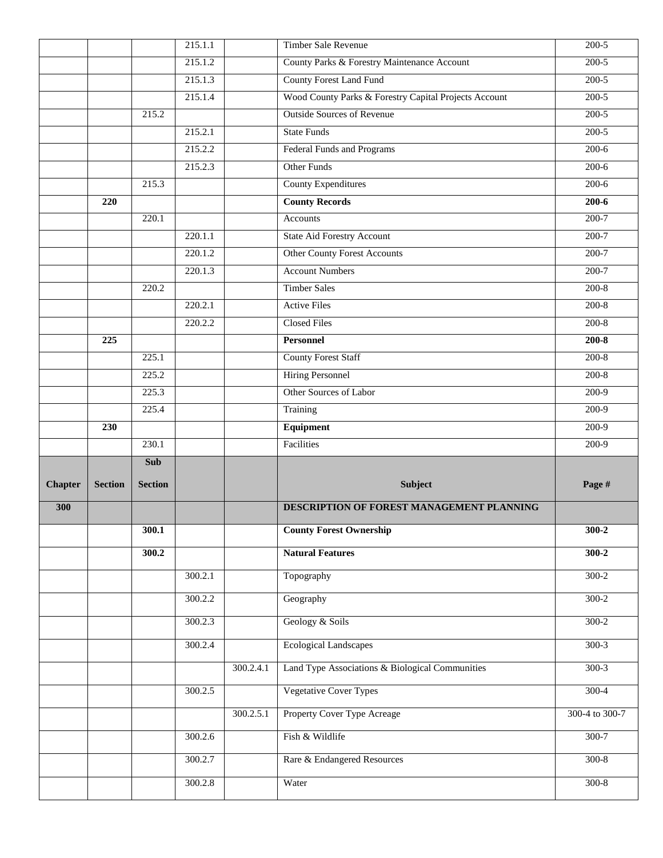|                |                |                | 215.1.1 |           | Timber Sale Revenue                                   | $200 - 5$      |
|----------------|----------------|----------------|---------|-----------|-------------------------------------------------------|----------------|
|                |                |                | 215.1.2 |           | County Parks & Forestry Maintenance Account           | $200-5$        |
|                |                |                | 215.1.3 |           | <b>County Forest Land Fund</b>                        | $200-5$        |
|                |                |                | 215.1.4 |           | Wood County Parks & Forestry Capital Projects Account | $200-5$        |
|                |                | 215.2          |         |           | <b>Outside Sources of Revenue</b>                     | $200-5$        |
|                |                |                | 215.2.1 |           | <b>State Funds</b>                                    | $200 - 5$      |
|                |                |                | 215.2.2 |           | <b>Federal Funds and Programs</b>                     | $200-6$        |
|                |                |                | 215.2.3 |           | <b>Other Funds</b>                                    | $200-6$        |
|                |                | 215.3          |         |           | <b>County Expenditures</b>                            | $200-6$        |
|                | 220            |                |         |           | <b>County Records</b>                                 | $200 - 6$      |
|                |                | 220.1          |         |           | Accounts                                              | $200 - 7$      |
|                |                |                | 220.1.1 |           | <b>State Aid Forestry Account</b>                     | $200 - 7$      |
|                |                |                | 220.1.2 |           | <b>Other County Forest Accounts</b>                   | $200 - 7$      |
|                |                |                | 220.1.3 |           | <b>Account Numbers</b>                                | $200 - 7$      |
|                |                | 220.2          |         |           | <b>Timber Sales</b>                                   | $200-8$        |
|                |                |                | 220.2.1 |           | <b>Active Files</b>                                   | $200-8$        |
|                |                |                | 220.2.2 |           | <b>Closed Files</b>                                   | $200-8$        |
|                | 225            |                |         |           | Personnel                                             | $200 - 8$      |
|                |                | 225.1          |         |           | <b>County Forest Staff</b>                            | $200-8$        |
|                |                | 225.2          |         |           | <b>Hiring Personnel</b>                               | $200 - 8$      |
|                |                | 225.3          |         |           | Other Sources of Labor                                | 200-9          |
|                |                | 225.4          |         |           | Training                                              | $200-9$        |
|                | 230            |                |         |           | Equipment                                             | $200-9$        |
|                |                | 230.1          |         |           | Facilities                                            | 200-9          |
|                |                | <b>Sub</b>     |         |           |                                                       |                |
| <b>Chapter</b> | <b>Section</b> | <b>Section</b> |         |           | <b>Subject</b>                                        | Page #         |
| 300            |                |                |         |           | DESCRIPTION OF FOREST MANAGEMENT PLANNING             |                |
|                |                | 300.1          |         |           | <b>County Forest Ownership</b>                        | $300 - 2$      |
|                |                | 300.2          |         |           | <b>Natural Features</b>                               | $300 - 2$      |
|                |                |                | 300.2.1 |           | Topography                                            | $300-2$        |
|                |                |                | 300.2.2 |           | Geography                                             | $300-2$        |
|                |                |                | 300.2.3 |           | Geology & Soils                                       | $300-2$        |
|                |                |                |         |           |                                                       |                |
|                |                |                | 300.2.4 |           | <b>Ecological Landscapes</b>                          | $300-3$        |
|                |                |                |         | 300.2.4.1 | Land Type Associations & Biological Communities       | $300-3$        |
|                |                |                | 300.2.5 |           | <b>Vegetative Cover Types</b>                         | $300-4$        |
|                |                |                |         | 300.2.5.1 | Property Cover Type Acreage                           | 300-4 to 300-7 |
|                |                |                | 300.2.6 |           | Fish & Wildlife                                       | 300-7          |
|                |                |                | 300.2.7 |           | Rare & Endangered Resources                           | $300-8$        |
|                |                |                | 300.2.8 |           | Water                                                 | $300-8$        |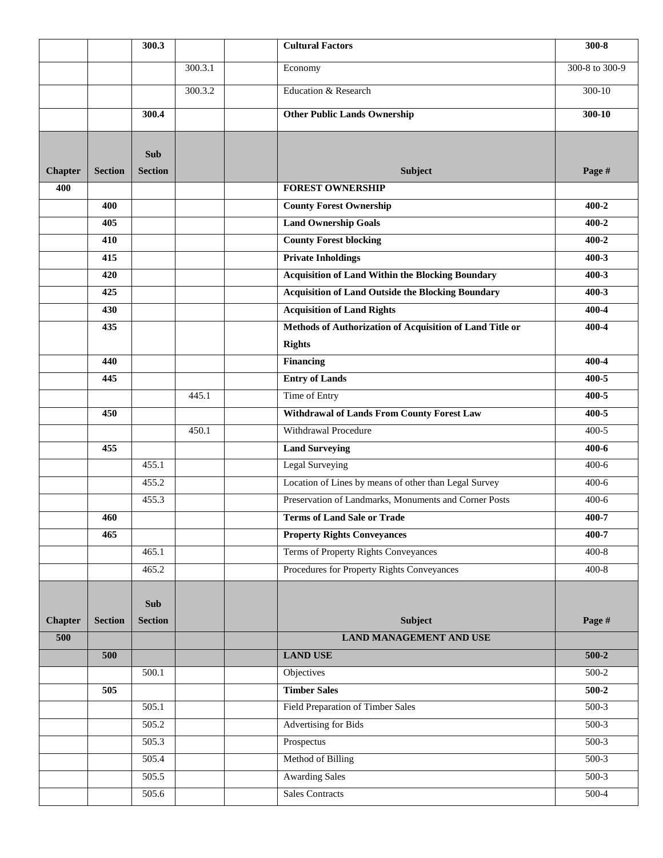|                |                | 300.3                        |         | <b>Cultural Factors</b>                                  | $300 - 8$      |
|----------------|----------------|------------------------------|---------|----------------------------------------------------------|----------------|
|                |                |                              | 300.3.1 | Economy                                                  | 300-8 to 300-9 |
|                |                |                              | 300.3.2 | Education & Research                                     | $300 - 10$     |
|                |                | 300.4                        |         | <b>Other Public Lands Ownership</b>                      | 300-10         |
|                |                |                              |         |                                                          |                |
| <b>Chapter</b> | <b>Section</b> | <b>Sub</b><br><b>Section</b> |         | Subject                                                  | Page #         |
| 400            |                |                              |         | <b>FOREST OWNERSHIP</b>                                  |                |
|                | 400            |                              |         | <b>County Forest Ownership</b>                           | $400 - 2$      |
|                | 405            |                              |         | <b>Land Ownership Goals</b>                              | $400 - 2$      |
|                | 410            |                              |         | <b>County Forest blocking</b>                            | $400 - 2$      |
|                | 415            |                              |         | <b>Private Inholdings</b>                                | $400 - 3$      |
|                | 420            |                              |         | <b>Acquisition of Land Within the Blocking Boundary</b>  | $400 - 3$      |
|                | 425            |                              |         | <b>Acquisition of Land Outside the Blocking Boundary</b> | $400 - 3$      |
|                | 430            |                              |         | <b>Acquisition of Land Rights</b>                        | 400-4          |
|                | 435            |                              |         | Methods of Authorization of Acquisition of Land Title or | 400-4          |
|                |                |                              |         | <b>Rights</b>                                            |                |
|                | 440            |                              |         | <b>Financing</b>                                         | 400-4          |
|                | 445            |                              |         | <b>Entry of Lands</b>                                    | $400 - 5$      |
|                |                |                              | 445.1   | Time of Entry                                            | 400-5          |
|                | 450            |                              |         | <b>Withdrawal of Lands From County Forest Law</b>        | $400 - 5$      |
|                |                |                              | 450.1   | Withdrawal Procedure                                     | $400 - 5$      |
|                | 455            |                              |         | <b>Land Surveying</b>                                    | 400-6          |
|                |                | 455.1                        |         | Legal Surveying                                          | $400-6$        |
|                |                | 455.2                        |         | Location of Lines by means of other than Legal Survey    | $400 - 6$      |
|                |                | 455.3                        |         | Preservation of Landmarks, Monuments and Corner Posts    | $400-6$        |
|                | 460            |                              |         | <b>Terms of Land Sale or Trade</b>                       | 400-7          |
|                | 465            |                              |         | <b>Property Rights Conveyances</b>                       | 400-7          |
|                |                | 465.1                        |         | Terms of Property Rights Conveyances                     | $400 - 8$      |
|                |                | 465.2                        |         | Procedures for Property Rights Conveyances               | $400 - 8$      |
|                |                | <b>Sub</b>                   |         |                                                          |                |
| <b>Chapter</b> | <b>Section</b> | <b>Section</b>               |         | Subject                                                  | Page #         |
| 500            |                |                              |         | <b>LAND MANAGEMENT AND USE</b>                           |                |
|                | 500            |                              |         | <b>LAND USE</b>                                          | $500-2$        |
|                |                | 500.1                        |         | Objectives                                               | 500-2          |
|                | 505            |                              |         | <b>Timber Sales</b>                                      | $500-2$        |
|                |                | 505.1                        |         | Field Preparation of Timber Sales                        | $500-3$        |
|                |                | 505.2                        |         | <b>Advertising for Bids</b>                              | $500-3$        |
|                |                | 505.3                        |         | Prospectus                                               | $500-3$        |
|                |                | 505.4                        |         | Method of Billing                                        | 500-3          |
|                |                | 505.5                        |         | <b>Awarding Sales</b>                                    | 500-3          |
|                |                | 505.6                        |         | <b>Sales Contracts</b>                                   | $500-4$        |
|                |                |                              |         |                                                          |                |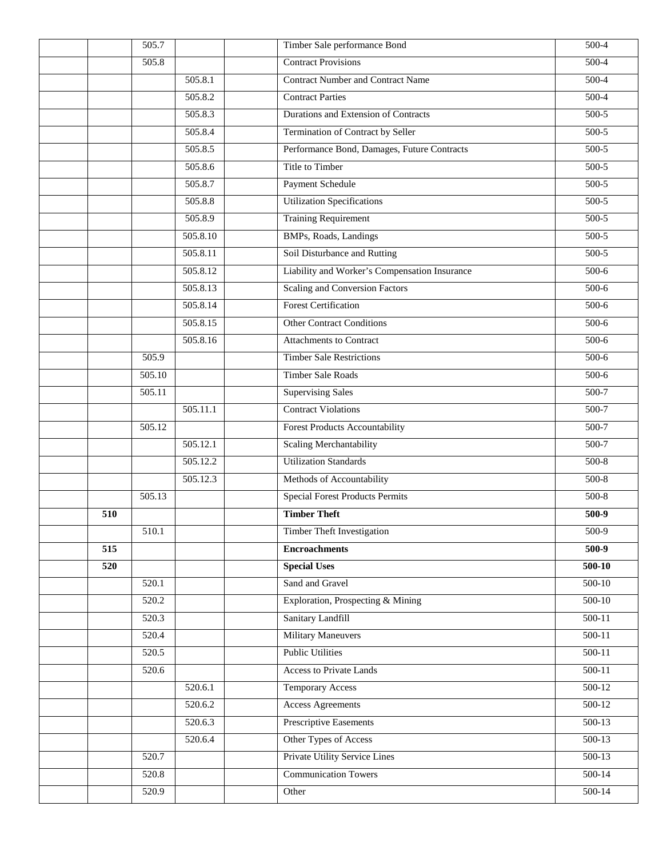|     | 505.7              |          | Timber Sale performance Bond                  | $500-4$    |
|-----|--------------------|----------|-----------------------------------------------|------------|
|     | 505.8              |          | <b>Contract Provisions</b>                    | $500-4$    |
|     |                    | 505.8.1  | <b>Contract Number and Contract Name</b>      | $500-4$    |
|     |                    | 505.8.2  | <b>Contract Parties</b>                       | 500-4      |
|     |                    | 505.8.3  | Durations and Extension of Contracts          | $500-5$    |
|     |                    | 505.8.4  | Termination of Contract by Seller             | 500-5      |
|     |                    | 505.8.5  | Performance Bond, Damages, Future Contracts   | $500-5$    |
|     |                    | 505.8.6  | Title to Timber                               | $500-5$    |
|     |                    | 505.8.7  | Payment Schedule                              | 500-5      |
|     |                    | 505.8.8  | <b>Utilization Specifications</b>             | 500-5      |
|     |                    | 505.8.9  | <b>Training Requirement</b>                   | $500-5$    |
|     |                    | 505.8.10 | BMPs, Roads, Landings                         | $500-5$    |
|     |                    | 505.8.11 | Soil Disturbance and Rutting                  | 500-5      |
|     |                    | 505.8.12 | Liability and Worker's Compensation Insurance | 500-6      |
|     |                    | 505.8.13 | <b>Scaling and Conversion Factors</b>         | $500-6$    |
|     |                    | 505.8.14 | <b>Forest Certification</b>                   | $500-6$    |
|     |                    | 505.8.15 | <b>Other Contract Conditions</b>              | 500-6      |
|     |                    | 505.8.16 | <b>Attachments to Contract</b>                | $500-6$    |
|     | 505.9              |          | <b>Timber Sale Restrictions</b>               | $500-6$    |
|     | 505.10             |          | <b>Timber Sale Roads</b>                      | 500-6      |
|     | 505.11             |          | <b>Supervising Sales</b>                      | 500-7      |
|     |                    | 505.11.1 | <b>Contract Violations</b>                    | $500-7$    |
|     | 505.12             |          | <b>Forest Products Accountability</b>         | $500-7$    |
|     |                    | 505.12.1 | <b>Scaling Merchantability</b>                | 500-7      |
|     |                    | 505.12.2 | <b>Utilization Standards</b>                  | 500-8      |
|     |                    | 505.12.3 | Methods of Accountability                     | $500-8$    |
|     | 505.13             |          | <b>Special Forest Products Permits</b>        | $500-8$    |
| 510 |                    |          | <b>Timber Theft</b>                           | 500-9      |
|     | 510.1              |          | <b>Timber Theft Investigation</b>             | 500-9      |
| 515 |                    |          | <b>Encroachments</b>                          | 500-9      |
| 520 |                    |          | <b>Special Uses</b>                           | $500-10$   |
|     | 520.1              |          | Sand and Gravel                               | 500-10     |
|     | 520.2              |          | Exploration, Prospecting & Mining             | $500-10$   |
|     | 520.3              |          | Sanitary Landfill                             | $500 - 11$ |
|     | 520.4              |          | <b>Military Maneuvers</b>                     | 500-11     |
|     | 520.5              |          | <b>Public Utilities</b>                       | 500-11     |
|     | 520.6              |          | <b>Access to Private Lands</b>                | $500-11$   |
|     |                    | 520.6.1  | <b>Temporary Access</b>                       | $500-12$   |
|     |                    | 520.6.2  | <b>Access Agreements</b>                      | 500-12     |
|     |                    | 520.6.3  | Prescriptive Easements                        | $500-13$   |
|     |                    | 520.6.4  | Other Types of Access                         | $500-13$   |
|     | $\overline{520.7}$ |          | Private Utility Service Lines                 | $500-13$   |
|     | 520.8              |          | <b>Communication Towers</b>                   | $500-14$   |
|     | 520.9              |          | Other                                         | $500-14$   |
|     |                    |          |                                               |            |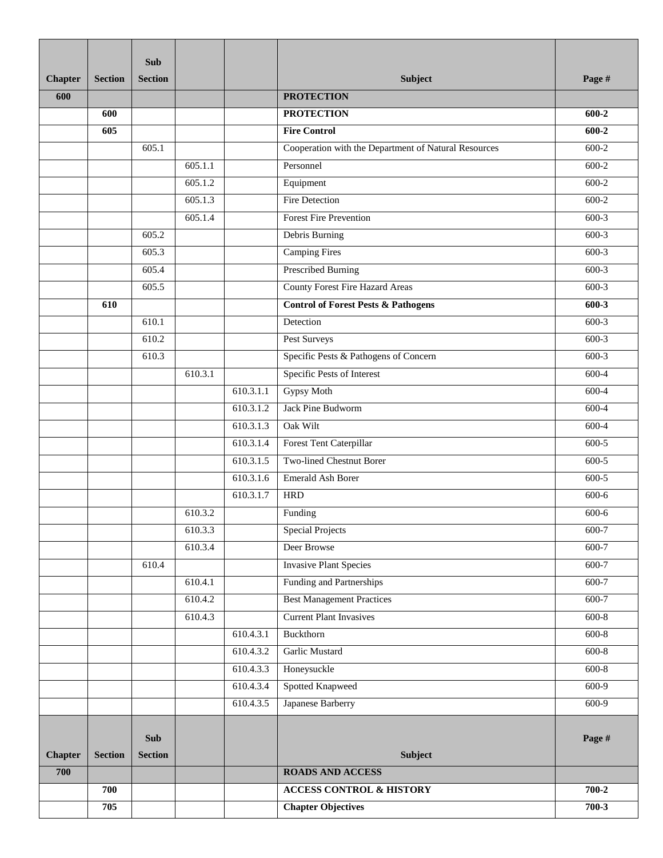|                |                | <b>Sub</b>                   |         |           |                                                      |           |
|----------------|----------------|------------------------------|---------|-----------|------------------------------------------------------|-----------|
| <b>Chapter</b> | <b>Section</b> | <b>Section</b>               |         |           | Subject                                              | Page #    |
| 600            |                |                              |         |           | <b>PROTECTION</b>                                    |           |
|                | 600            |                              |         |           | <b>PROTECTION</b>                                    | 600-2     |
|                | 605            |                              |         |           | <b>Fire Control</b>                                  | 600-2     |
|                |                | 605.1                        |         |           | Cooperation with the Department of Natural Resources | 600-2     |
|                |                |                              | 605.1.1 |           | Personnel                                            | $600-2$   |
|                |                |                              | 605.1.2 |           | Equipment                                            | $600-2$   |
|                |                |                              | 605.1.3 |           | Fire Detection                                       | 600-2     |
|                |                |                              | 605.1.4 |           | <b>Forest Fire Prevention</b>                        | $600-3$   |
|                |                | 605.2                        |         |           | Debris Burning                                       | $600-3$   |
|                |                | 605.3                        |         |           | <b>Camping Fires</b>                                 | $600-3$   |
|                |                | 605.4                        |         |           | <b>Prescribed Burning</b>                            | $600-3$   |
|                |                | 605.5                        |         |           | County Forest Fire Hazard Areas                      | $600-3$   |
|                | 610            |                              |         |           | <b>Control of Forest Pests &amp; Pathogens</b>       | 600-3     |
|                |                | 610.1                        |         |           | Detection                                            | 600-3     |
|                |                | 610.2                        |         |           | Pest Surveys                                         | $600-3$   |
|                |                | 610.3                        |         |           | Specific Pests & Pathogens of Concern                | $600-3$   |
|                |                |                              | 610.3.1 |           | Specific Pests of Interest                           | 600-4     |
|                |                |                              |         | 610.3.1.1 | <b>Gypsy Moth</b>                                    | 600-4     |
|                |                |                              |         | 610.3.1.2 | Jack Pine Budworm                                    | 600-4     |
|                |                |                              |         | 610.3.1.3 | Oak Wilt                                             | 600-4     |
|                |                |                              |         | 610.3.1.4 | Forest Tent Caterpillar                              | $600-5$   |
|                |                |                              |         | 610.3.1.5 | <b>Two-lined Chestnut Borer</b>                      | $600 - 5$ |
|                |                |                              |         | 610.3.1.6 | <b>Emerald Ash Borer</b>                             | 600-5     |
|                |                |                              |         | 610.3.1.7 | <b>HRD</b>                                           | 600-6     |
|                |                |                              | 610.3.2 |           | Funding                                              | $600 - 6$ |
|                |                |                              | 610.3.3 |           | <b>Special Projects</b>                              | 600-7     |
|                |                |                              | 610.3.4 |           | Deer Browse                                          | 600-7     |
|                |                | 610.4                        |         |           | <b>Invasive Plant Species</b>                        | $600 - 7$ |
|                |                |                              | 610.4.1 |           | <b>Funding and Partnerships</b>                      | $600-7$   |
|                |                |                              | 610.4.2 |           | <b>Best Management Practices</b>                     | 600-7     |
|                |                |                              | 610.4.3 |           | <b>Current Plant Invasives</b>                       | $600-8$   |
|                |                |                              |         | 610.4.3.1 | Buckthorn                                            | $600-8$   |
|                |                |                              |         | 610.4.3.2 | Garlic Mustard                                       | $600 - 8$ |
|                |                |                              |         | 610.4.3.3 | Honeysuckle                                          | $600 - 8$ |
|                |                |                              |         | 610.4.3.4 | Spotted Knapweed                                     | $600-9$   |
|                |                |                              |         | 610.4.3.5 | Japanese Barberry                                    | $600-9$   |
| <b>Chapter</b> | <b>Section</b> | <b>Sub</b><br><b>Section</b> |         |           | <b>Subject</b>                                       | Page #    |
| 700            |                |                              |         |           | <b>ROADS AND ACCESS</b>                              |           |
|                | 700            |                              |         |           | <b>ACCESS CONTROL &amp; HISTORY</b>                  | 700-2     |
|                | 705            |                              |         |           | <b>Chapter Objectives</b>                            | $700-3$   |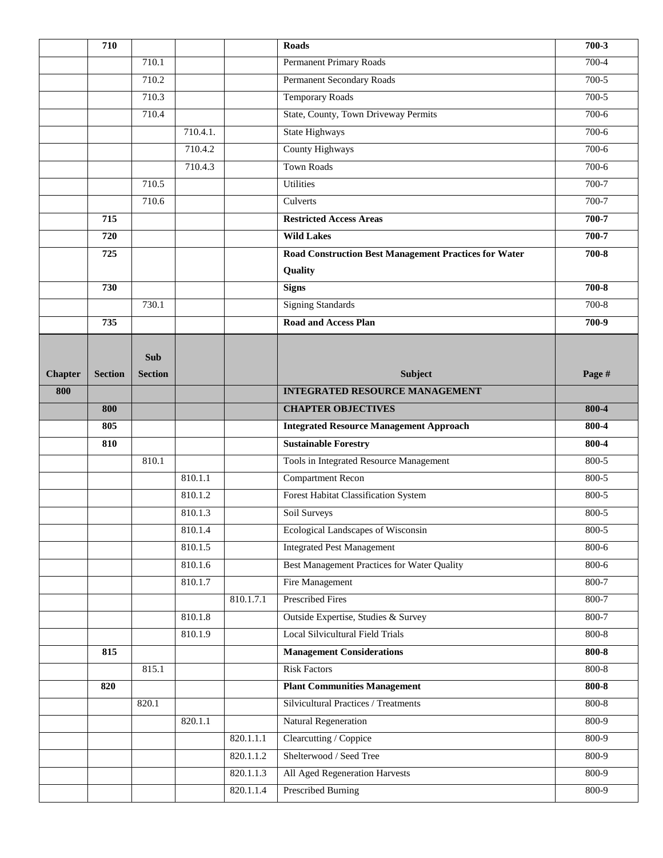|                | 710            |                |          |           | <b>Roads</b>                                                 | 700-3     |
|----------------|----------------|----------------|----------|-----------|--------------------------------------------------------------|-----------|
|                |                | 710.1          |          |           | <b>Permanent Primary Roads</b>                               | 700-4     |
|                |                | 710.2          |          |           | Permanent Secondary Roads                                    | $700-5$   |
|                |                | 710.3          |          |           | <b>Temporary Roads</b>                                       | 700-5     |
|                |                | 710.4          |          |           | State, County, Town Driveway Permits                         | $700-6$   |
|                |                |                | 710.4.1. |           | <b>State Highways</b>                                        | $700-6$   |
|                |                |                | 710.4.2  |           | <b>County Highways</b>                                       | $700-6$   |
|                |                |                | 710.4.3  |           | <b>Town Roads</b>                                            | $700-6$   |
|                |                | 710.5          |          |           | Utilities                                                    | 700-7     |
|                |                | 710.6          |          |           | Culverts                                                     | 700-7     |
|                | 715            |                |          |           | <b>Restricted Access Areas</b>                               | 700-7     |
|                | 720            |                |          |           | <b>Wild Lakes</b>                                            | 700-7     |
|                | 725            |                |          |           | <b>Road Construction Best Management Practices for Water</b> | 700-8     |
|                |                |                |          |           | Quality                                                      |           |
|                | 730            |                |          |           | <b>Signs</b>                                                 | $700 - 8$ |
|                |                | 730.1          |          |           | <b>Signing Standards</b>                                     | 700-8     |
|                | 735            |                |          |           | <b>Road and Access Plan</b>                                  | 700-9     |
|                |                |                |          |           |                                                              |           |
|                |                | <b>Sub</b>     |          |           |                                                              |           |
| <b>Chapter</b> | <b>Section</b> | <b>Section</b> |          |           | Subject                                                      | Page #    |
| 800            |                |                |          |           | <b>INTEGRATED RESOURCE MANAGEMENT</b>                        |           |
|                | 800            |                |          |           | <b>CHAPTER OBJECTIVES</b>                                    | 800-4     |
|                |                |                |          |           |                                                              |           |
|                | 805            |                |          |           | <b>Integrated Resource Management Approach</b>               | 800-4     |
|                | 810            |                |          |           | <b>Sustainable Forestry</b>                                  | 800-4     |
|                |                | 810.1          |          |           | Tools in Integrated Resource Management                      | 800-5     |
|                |                |                | 810.1.1  |           | <b>Compartment Recon</b>                                     | 800-5     |
|                |                |                | 810.1.2  |           | Forest Habitat Classification System                         | 800-5     |
|                |                |                | 810.1.3  |           | Soil Surveys                                                 | 800-5     |
|                |                |                | 810.1.4  |           | Ecological Landscapes of Wisconsin                           | $800 - 5$ |
|                |                |                | 810.1.5  |           | <b>Integrated Pest Management</b>                            | 800-6     |
|                |                |                | 810.1.6  |           | <b>Best Management Practices for Water Quality</b>           | $800 - 6$ |
|                |                |                | 810.1.7  |           | <b>Fire Management</b>                                       | $800 - 7$ |
|                |                |                |          | 810.1.7.1 | <b>Prescribed Fires</b>                                      | 800-7     |
|                |                |                | 810.1.8  |           | Outside Expertise, Studies & Survey                          | $800 - 7$ |
|                |                |                | 810.1.9  |           | Local Silvicultural Field Trials                             | $800 - 8$ |
|                | 815            |                |          |           | <b>Management Considerations</b>                             | $800 - 8$ |
|                |                | 815.1          |          |           | <b>Risk Factors</b>                                          | $800 - 8$ |
|                | 820            |                |          |           | <b>Plant Communities Management</b>                          | $800 - 8$ |
|                |                | 820.1          |          |           | Silvicultural Practices / Treatments                         | $800 - 8$ |
|                |                |                | 820.1.1  |           | <b>Natural Regeneration</b>                                  | $800-9$   |
|                |                |                |          | 820.1.1.1 | Clearcutting / Coppice                                       | 800-9     |
|                |                |                |          | 820.1.1.2 | Shelterwood / Seed Tree                                      | $800 - 9$ |
|                |                |                |          | 820.1.1.3 | All Aged Regeneration Harvests                               | 800-9     |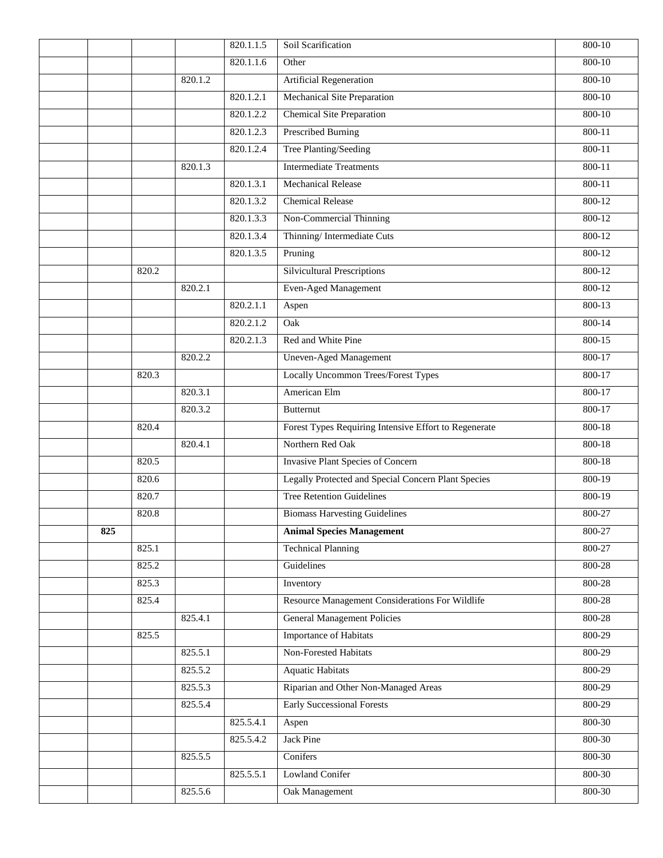|     |       |         | 820.1.1.5 | Soil Scarification                                         | $800 - 10$ |
|-----|-------|---------|-----------|------------------------------------------------------------|------------|
|     |       |         | 820.1.1.6 | Other                                                      | $800 - 10$ |
|     |       | 820.1.2 |           | Artificial Regeneration                                    | $800 - 10$ |
|     |       |         | 820.1.2.1 | Mechanical Site Preparation                                | $800 - 10$ |
|     |       |         | 820.1.2.2 | <b>Chemical Site Preparation</b>                           | $800 - 10$ |
|     |       |         | 820.1.2.3 | <b>Prescribed Burning</b>                                  | 800-11     |
|     |       |         | 820.1.2.4 | Tree Planting/Seeding                                      | $800 - 11$ |
|     |       | 820.1.3 |           | <b>Intermediate Treatments</b>                             | $800 - 11$ |
|     |       |         | 820.1.3.1 | <b>Mechanical Release</b>                                  | 800-11     |
|     |       |         | 820.1.3.2 | <b>Chemical Release</b>                                    | 800-12     |
|     |       |         | 820.1.3.3 | Non-Commercial Thinning                                    | $800 - 12$ |
|     |       |         | 820.1.3.4 | Thinning/Intermediate Cuts                                 | $800 - 12$ |
|     |       |         | 820.1.3.5 | Pruning                                                    | 800-12     |
|     | 820.2 |         |           | <b>Silvicultural Prescriptions</b>                         | $800 - 12$ |
|     |       | 820.2.1 |           | <b>Even-Aged Management</b>                                | $800 - 12$ |
|     |       |         | 820.2.1.1 | Aspen                                                      | $800 - 13$ |
|     |       |         | 820.2.1.2 | Oak                                                        | $800 - 14$ |
|     |       |         | 820.2.1.3 | Red and White Pine                                         | $800 - 15$ |
|     |       | 820.2.2 |           | <b>Uneven-Aged Management</b>                              | $800 - 17$ |
|     | 820.3 |         |           | <b>Locally Uncommon Trees/Forest Types</b>                 | 800-17     |
|     |       | 820.3.1 |           | American Elm                                               | 800-17     |
|     |       | 820.3.2 |           | <b>Butternut</b>                                           | 800-17     |
|     | 820.4 |         |           | Forest Types Requiring Intensive Effort to Regenerate      | $800 - 18$ |
|     |       | 820.4.1 |           | Northern Red Oak                                           | 800-18     |
|     | 820.5 |         |           | Invasive Plant Species of Concern                          | 800-18     |
|     | 820.6 |         |           | <b>Legally Protected and Special Concern Plant Species</b> | 800-19     |
|     | 820.7 |         |           | <b>Tree Retention Guidelines</b>                           | 800-19     |
|     | 820.8 |         |           | <b>Biomass Harvesting Guidelines</b>                       | 800-27     |
| 825 |       |         |           | <b>Animal Species Management</b>                           | 800-27     |
|     | 825.1 |         |           | <b>Technical Planning</b>                                  | 800-27     |
|     | 825.2 |         |           | Guidelines                                                 | 800-28     |
|     | 825.3 |         |           | Inventory                                                  | 800-28     |
|     | 825.4 |         |           | Resource Management Considerations For Wildlife            | 800-28     |
|     |       | 825.4.1 |           | <b>General Management Policies</b>                         | 800-28     |
|     | 825.5 |         |           | <b>Importance of Habitats</b>                              | 800-29     |
|     |       | 825.5.1 |           | Non-Forested Habitats                                      | 800-29     |
|     |       | 825.5.2 |           | <b>Aquatic Habitats</b>                                    | 800-29     |
|     |       | 825.5.3 |           | Riparian and Other Non-Managed Areas                       | 800-29     |
|     |       | 825.5.4 |           | <b>Early Successional Forests</b>                          | 800-29     |
|     |       |         | 825.5.4.1 | Aspen                                                      | 800-30     |
|     |       |         | 825.5.4.2 | Jack Pine                                                  | 800-30     |
|     |       | 825.5.5 |           | Conifers                                                   | 800-30     |
|     |       |         | 825.5.5.1 | Lowland Conifer                                            | 800-30     |
|     |       | 825.5.6 |           | Oak Management                                             | 800-30     |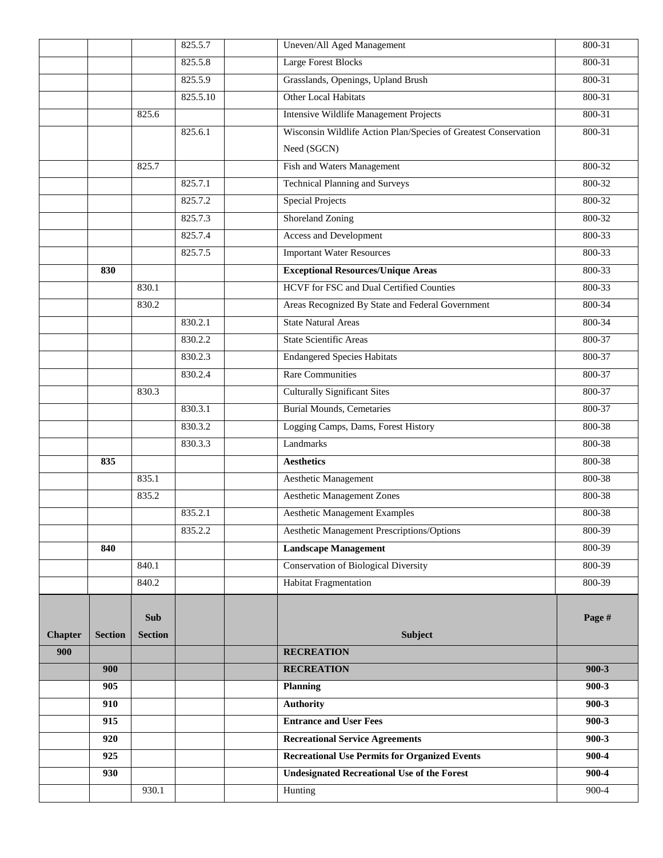|                |                |                | 825.5.7  | Uneven/All Aged Management                                      | 800-31    |
|----------------|----------------|----------------|----------|-----------------------------------------------------------------|-----------|
|                |                |                | 825.5.8  | <b>Large Forest Blocks</b>                                      | 800-31    |
|                |                |                | 825.5.9  | Grasslands, Openings, Upland Brush                              | 800-31    |
|                |                |                | 825.5.10 | Other Local Habitats                                            | 800-31    |
|                |                | 825.6          |          | <b>Intensive Wildlife Management Projects</b>                   | 800-31    |
|                |                |                | 825.6.1  | Wisconsin Wildlife Action Plan/Species of Greatest Conservation | 800-31    |
|                |                |                |          | Need (SGCN)                                                     |           |
|                |                | 825.7          |          | Fish and Waters Management                                      | 800-32    |
|                |                |                | 825.7.1  | <b>Technical Planning and Surveys</b>                           | 800-32    |
|                |                |                | 825.7.2  | <b>Special Projects</b>                                         | 800-32    |
|                |                |                | 825.7.3  | <b>Shoreland Zoning</b>                                         | 800-32    |
|                |                |                | 825.7.4  | Access and Development                                          | 800-33    |
|                |                |                | 825.7.5  | <b>Important Water Resources</b>                                | 800-33    |
|                | 830            |                |          | <b>Exceptional Resources/Unique Areas</b>                       | 800-33    |
|                |                | 830.1          |          | <b>HCVF</b> for FSC and Dual Certified Counties                 | 800-33    |
|                |                | 830.2          |          | Areas Recognized By State and Federal Government                | 800-34    |
|                |                |                | 830.2.1  | <b>State Natural Areas</b>                                      | 800-34    |
|                |                |                | 830.2.2  | <b>State Scientific Areas</b>                                   | 800-37    |
|                |                |                | 830.2.3  | <b>Endangered Species Habitats</b>                              | 800-37    |
|                |                |                | 830.2.4  | <b>Rare Communities</b>                                         | 800-37    |
|                |                | 830.3          |          | <b>Culturally Significant Sites</b>                             | 800-37    |
|                |                |                | 830.3.1  | <b>Burial Mounds, Cemetaries</b>                                | 800-37    |
|                |                |                | 830.3.2  | Logging Camps, Dams, Forest History                             | 800-38    |
|                |                |                | 830.3.3  | Landmarks                                                       | 800-38    |
|                | 835            |                |          | <b>Aesthetics</b>                                               | 800-38    |
|                |                | 835.1          |          | <b>Aesthetic Management</b>                                     | 800-38    |
|                |                | 835.2          |          | <b>Aesthetic Management Zones</b>                               | 800-38    |
|                |                |                | 835.2.1  | <b>Aesthetic Management Examples</b>                            | 800-38    |
|                |                |                | 835.2.2  | <b>Aesthetic Management Prescriptions/Options</b>               | 800-39    |
|                | 840            |                |          | <b>Landscape Management</b>                                     | 800-39    |
|                |                | 840.1          |          | <b>Conservation of Biological Diversity</b>                     | 800-39    |
|                |                | 840.2          |          | <b>Habitat Fragmentation</b>                                    | 800-39    |
|                |                | <b>Sub</b>     |          |                                                                 | Page #    |
| <b>Chapter</b> | <b>Section</b> | <b>Section</b> |          | <b>Subject</b>                                                  |           |
| 900            |                |                |          | <b>RECREATION</b>                                               |           |
|                | 900            |                |          | <b>RECREATION</b>                                               | $900-3$   |
|                | 905            |                |          | Planning                                                        | $900 - 3$ |
|                | 910            |                |          | <b>Authority</b>                                                | $900 - 3$ |
|                | 915            |                |          | <b>Entrance and User Fees</b>                                   | $900 - 3$ |
|                | 920            |                |          | <b>Recreational Service Agreements</b>                          | $900 - 3$ |
|                | 925            |                |          | <b>Recreational Use Permits for Organized Events</b>            | 900-4     |
|                | 930            |                |          | <b>Undesignated Recreational Use of the Forest</b>              | 900-4     |
|                |                | 930.1          |          | Hunting                                                         | $900 - 4$ |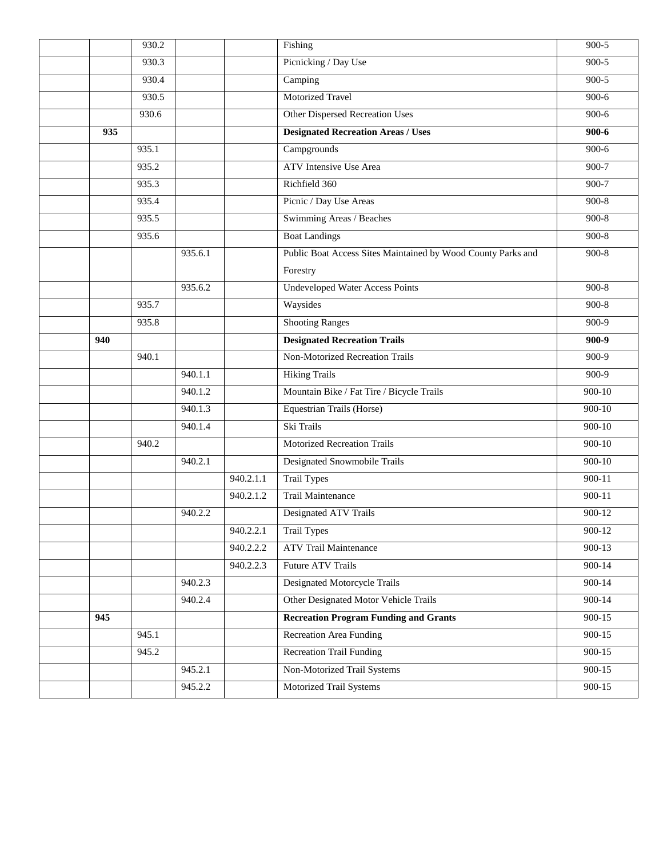|     | 930.2 |         |           | Fishing                                                      | $900 - 5$  |
|-----|-------|---------|-----------|--------------------------------------------------------------|------------|
|     | 930.3 |         |           | Picnicking / Day Use                                         | $900-5$    |
|     | 930.4 |         |           | Camping                                                      | $900-5$    |
|     | 930.5 |         |           | <b>Motorized Travel</b>                                      | $900-6$    |
|     | 930.6 |         |           | <b>Other Dispersed Recreation Uses</b>                       | $900-6$    |
| 935 |       |         |           | <b>Designated Recreation Areas / Uses</b>                    | $900 - 6$  |
|     | 935.1 |         |           | Campgrounds                                                  | $900-6$    |
|     | 935.2 |         |           | <b>ATV</b> Intensive Use Area                                | $900 - 7$  |
|     | 935.3 |         |           | Richfield 360                                                | 900-7      |
|     | 935.4 |         |           | Picnic / Day Use Areas                                       | $900 - 8$  |
|     | 935.5 |         |           | Swimming Areas / Beaches                                     | $900-8$    |
|     | 935.6 |         |           | <b>Boat Landings</b>                                         | $900-8$    |
|     |       | 935.6.1 |           | Public Boat Access Sites Maintained by Wood County Parks and | $900 - 8$  |
|     |       |         |           | Forestry                                                     |            |
|     |       | 935.6.2 |           | <b>Undeveloped Water Access Points</b>                       | $900 - 8$  |
|     | 935.7 |         |           | Waysides                                                     | $900 - 8$  |
|     | 935.8 |         |           | <b>Shooting Ranges</b>                                       | $900-9$    |
| 940 |       |         |           | <b>Designated Recreation Trails</b>                          | 900-9      |
|     | 940.1 |         |           | Non-Motorized Recreation Trails                              | $900-9$    |
|     |       | 940.1.1 |           | <b>Hiking Trails</b>                                         | $900-9$    |
|     |       | 940.1.2 |           | Mountain Bike / Fat Tire / Bicycle Trails                    | $900 - 10$ |
|     |       | 940.1.3 |           | <b>Equestrian Trails (Horse)</b>                             | 900-10     |
|     |       | 940.1.4 |           | Ski Trails                                                   | $900 - 10$ |
|     | 940.2 |         |           | <b>Motorized Recreation Trails</b>                           | 900-10     |
|     |       | 940.2.1 |           | Designated Snowmobile Trails                                 | $900 - 10$ |
|     |       |         | 940.2.1.1 | <b>Trail Types</b>                                           | $900 - 11$ |
|     |       |         | 940.2.1.2 | Trail Maintenance                                            | 900-11     |
|     |       | 940.2.2 |           | Designated ATV Trails                                        | 900-12     |
|     |       |         | 940.2.2.1 | <b>Trail Types</b>                                           | 900-12     |
|     |       |         | 940.2.2.2 | <b>ATV Trail Maintenance</b>                                 | 900-13     |
|     |       |         | 940.2.2.3 | <b>Future ATV Trails</b>                                     | $900 - 14$ |
|     |       | 940.2.3 |           | <b>Designated Motorcycle Trails</b>                          | $900 - 14$ |
|     |       | 940.2.4 |           | Other Designated Motor Vehicle Trails                        | $900 - 14$ |
| 945 |       |         |           | <b>Recreation Program Funding and Grants</b>                 | $900 - 15$ |
|     | 945.1 |         |           | <b>Recreation Area Funding</b>                               | $900 - 15$ |
|     | 945.2 |         |           | <b>Recreation Trail Funding</b>                              | 900-15     |
|     |       | 945.2.1 |           | <b>Non-Motorized Trail Systems</b>                           | $900 - 15$ |
|     |       | 945.2.2 |           | Motorized Trail Systems                                      | $900 - 15$ |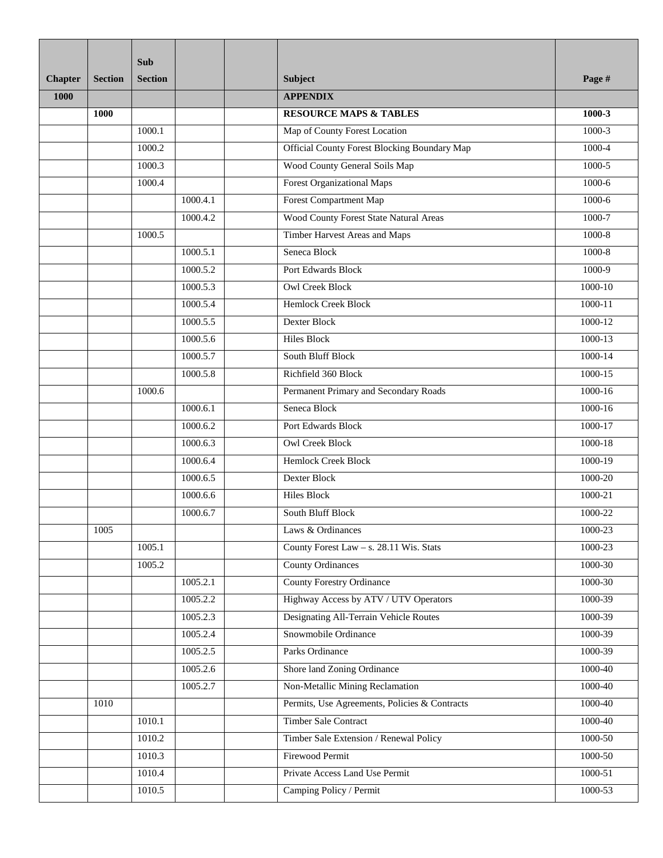|                |                | Sub            |          |                                                     |             |
|----------------|----------------|----------------|----------|-----------------------------------------------------|-------------|
| <b>Chapter</b> | <b>Section</b> | <b>Section</b> |          | Subject                                             | Page #      |
| 1000           |                |                |          | <b>APPENDIX</b>                                     |             |
|                | 1000           |                |          | <b>RESOURCE MAPS &amp; TABLES</b>                   | 1000-3      |
|                |                | 1000.1         |          | Map of County Forest Location                       | 1000-3      |
|                |                | 1000.2         |          | <b>Official County Forest Blocking Boundary Map</b> | 1000-4      |
|                |                | 1000.3         |          | Wood County General Soils Map                       | 1000-5      |
|                |                | 1000.4         |          | <b>Forest Organizational Maps</b>                   | $1000-6$    |
|                |                |                | 1000.4.1 | <b>Forest Compartment Map</b>                       | 1000-6      |
|                |                |                | 1000.4.2 | Wood County Forest State Natural Areas              | 1000-7      |
|                |                | 1000.5         |          | Timber Harvest Areas and Maps                       | 1000-8      |
|                |                |                | 1000.5.1 | Seneca Block                                        | 1000-8      |
|                |                |                | 1000.5.2 | Port Edwards Block                                  | $1000-9$    |
|                |                |                | 1000.5.3 | <b>Owl Creek Block</b>                              | $1000 - 10$ |
|                |                |                | 1000.5.4 | <b>Hemlock Creek Block</b>                          | $1000 - 11$ |
|                |                |                | 1000.5.5 | Dexter Block                                        | 1000-12     |
|                |                |                | 1000.5.6 | <b>Hiles Block</b>                                  | $1000 - 13$ |
|                |                |                | 1000.5.7 | South Bluff Block                                   | 1000-14     |
|                |                |                | 1000.5.8 | Richfield 360 Block                                 | 1000-15     |
|                |                | 1000.6         |          | Permanent Primary and Secondary Roads               | 1000-16     |
|                |                |                | 1000.6.1 | Seneca Block                                        | 1000-16     |
|                |                |                | 1000.6.2 | Port Edwards Block                                  | 1000-17     |
|                |                |                | 1000.6.3 | <b>Owl Creek Block</b>                              | 1000-18     |
|                |                |                | 1000.6.4 | <b>Hemlock Creek Block</b>                          | 1000-19     |
|                |                |                | 1000.6.5 | Dexter Block                                        | 1000-20     |
|                |                |                | 1000.6.6 | <b>Hiles Block</b>                                  | 1000-21     |
|                |                |                | 1000.6.7 | <b>South Bluff Block</b>                            | 1000-22     |
|                | 1005           |                |          | Laws & Ordinances                                   | 1000-23     |
|                |                | 1005.1         |          | County Forest Law - s. 28.11 Wis. Stats             | 1000-23     |
|                |                | 1005.2         |          | <b>County Ordinances</b>                            | 1000-30     |
|                |                |                | 1005.2.1 | <b>County Forestry Ordinance</b>                    | 1000-30     |
|                |                |                | 1005.2.2 | Highway Access by ATV / UTV Operators               | 1000-39     |
|                |                |                | 1005.2.3 | <b>Designating All-Terrain Vehicle Routes</b>       | 1000-39     |
|                |                |                | 1005.2.4 | Snowmobile Ordinance                                | 1000-39     |
|                |                |                | 1005.2.5 | Parks Ordinance                                     | 1000-39     |
|                |                |                | 1005.2.6 | Shore land Zoning Ordinance                         | 1000-40     |
|                |                |                | 1005.2.7 | Non-Metallic Mining Reclamation                     | 1000-40     |
|                | 1010           |                |          | Permits, Use Agreements, Policies & Contracts       | 1000-40     |
|                |                | 1010.1         |          | <b>Timber Sale Contract</b>                         | 1000-40     |
|                |                | 1010.2         |          | Timber Sale Extension / Renewal Policy              | 1000-50     |
|                |                | 1010.3         |          | Firewood Permit                                     | 1000-50     |
|                |                | 1010.4         |          | Private Access Land Use Permit                      | 1000-51     |
|                |                | 1010.5         |          | Camping Policy / Permit                             | 1000-53     |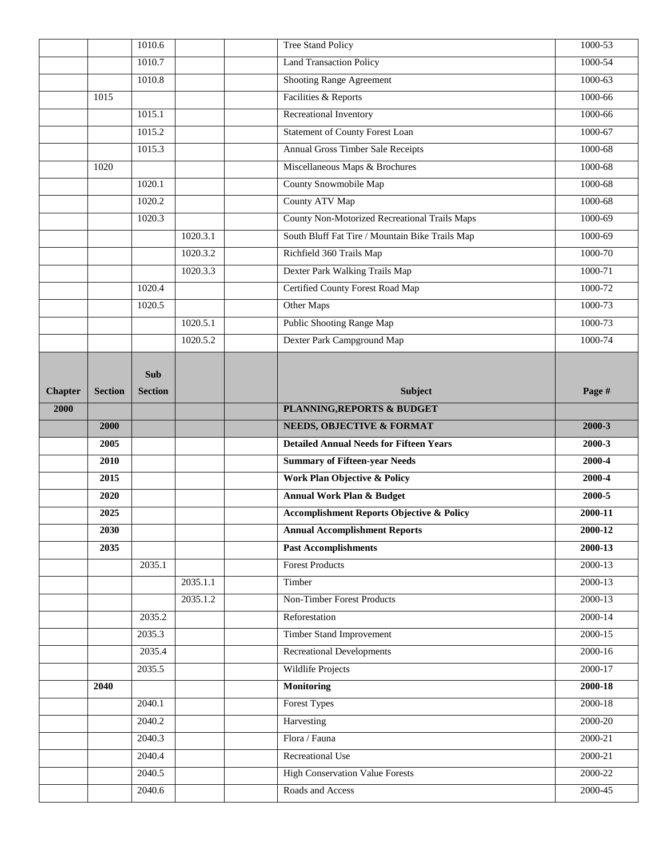|                |                | 1010.6           |          | <b>Tree Stand Policy</b>                                   | 1000-53            |
|----------------|----------------|------------------|----------|------------------------------------------------------------|--------------------|
|                |                | 1010.7           |          | <b>Land Transaction Policy</b>                             | 1000-54            |
|                |                | 1010.8           |          | <b>Shooting Range Agreement</b>                            | $1000 - 63$        |
|                | 1015           |                  |          | Facilities & Reports                                       | 1000-66            |
|                |                | 1015.1           |          | Recreational Inventory                                     | 1000-66            |
|                |                | 1015.2           |          | <b>Statement of County Forest Loan</b>                     | 1000-67            |
|                |                | 1015.3           |          | Annual Gross Timber Sale Receipts                          | 1000-68            |
|                | 1020           |                  |          | Miscellaneous Maps & Brochures                             | 1000-68            |
|                |                | 1020.1           |          | <b>County Snowmobile Map</b>                               | 1000-68            |
|                |                | 1020.2           |          | County ATV Map                                             | 1000-68            |
|                |                | 1020.3           |          | County Non-Motorized Recreational Trails Maps              | 1000-69            |
|                |                |                  | 1020.3.1 | South Bluff Fat Tire / Mountain Bike Trails Map            | 1000-69            |
|                |                |                  | 1020.3.2 | Richfield 360 Trails Map                                   | 1000-70            |
|                |                |                  | 1020.3.3 | Dexter Park Walking Trails Map                             | 1000-71            |
|                |                | 1020.4           |          | <b>Certified County Forest Road Map</b>                    | 1000-72            |
|                |                | 1020.5           |          | Other Maps                                                 | 1000-73            |
|                |                |                  | 1020.5.1 | <b>Public Shooting Range Map</b>                           | 1000-73            |
|                |                |                  | 1020.5.2 | Dexter Park Campground Map                                 | 1000-74            |
|                |                |                  |          |                                                            |                    |
|                |                | <b>Sub</b>       |          |                                                            |                    |
| <b>Chapter</b> | <b>Section</b> | <b>Section</b>   |          | <b>Subject</b>                                             | Page #             |
| 2000           |                |                  |          | PLANNING, REPORTS & BUDGET                                 |                    |
|                |                |                  |          |                                                            |                    |
|                | 2000           |                  |          | <b>NEEDS, OBJECTIVE &amp; FORMAT</b>                       | 2000-3             |
|                | 2005           |                  |          | <b>Detailed Annual Needs for Fifteen Years</b>             | 2000-3             |
|                | 2010           |                  |          | <b>Summary of Fifteen-year Needs</b>                       | 2000-4             |
|                | 2015           |                  |          | Work Plan Objective & Policy                               | 2000-4             |
|                | 2020           |                  |          | <b>Annual Work Plan &amp; Budget</b>                       | 2000-5             |
|                | 2025           |                  |          | <b>Accomplishment Reports Objective &amp; Policy</b>       | 2000-11            |
|                | 2030           |                  |          | <b>Annual Accomplishment Reports</b>                       | 2000-12            |
|                | 2035           |                  |          | <b>Past Accomplishments</b>                                | 2000-13            |
|                |                | 2035.1           |          | <b>Forest Products</b>                                     | $2000 - 13$        |
|                |                |                  | 2035.1.1 | Timber                                                     | $2000 - 13$        |
|                |                |                  | 2035.1.2 | Non-Timber Forest Products                                 | 2000-13            |
|                |                | 2035.2           |          | Reforestation                                              | $2000 - 14$        |
|                |                | 2035.3           |          | <b>Timber Stand Improvement</b>                            | $2000 - 15$        |
|                |                | 2035.4           |          | <b>Recreational Developments</b>                           | 2000-16            |
|                |                | 2035.5           |          | <b>Wildlife Projects</b>                                   | 2000-17            |
|                | 2040           |                  |          | <b>Monitoring</b>                                          | 2000-18            |
|                |                | 2040.1           |          | <b>Forest Types</b>                                        | 2000-18            |
|                |                | 2040.2           |          | Harvesting                                                 | 2000-20            |
|                |                | 2040.3           |          | Flora / Fauna                                              | 2000-21            |
|                |                | 2040.4           |          | <b>Recreational Use</b>                                    | 2000-21            |
|                |                | 2040.5<br>2040.6 |          | <b>High Conservation Value Forests</b><br>Roads and Access | 2000-22<br>2000-45 |